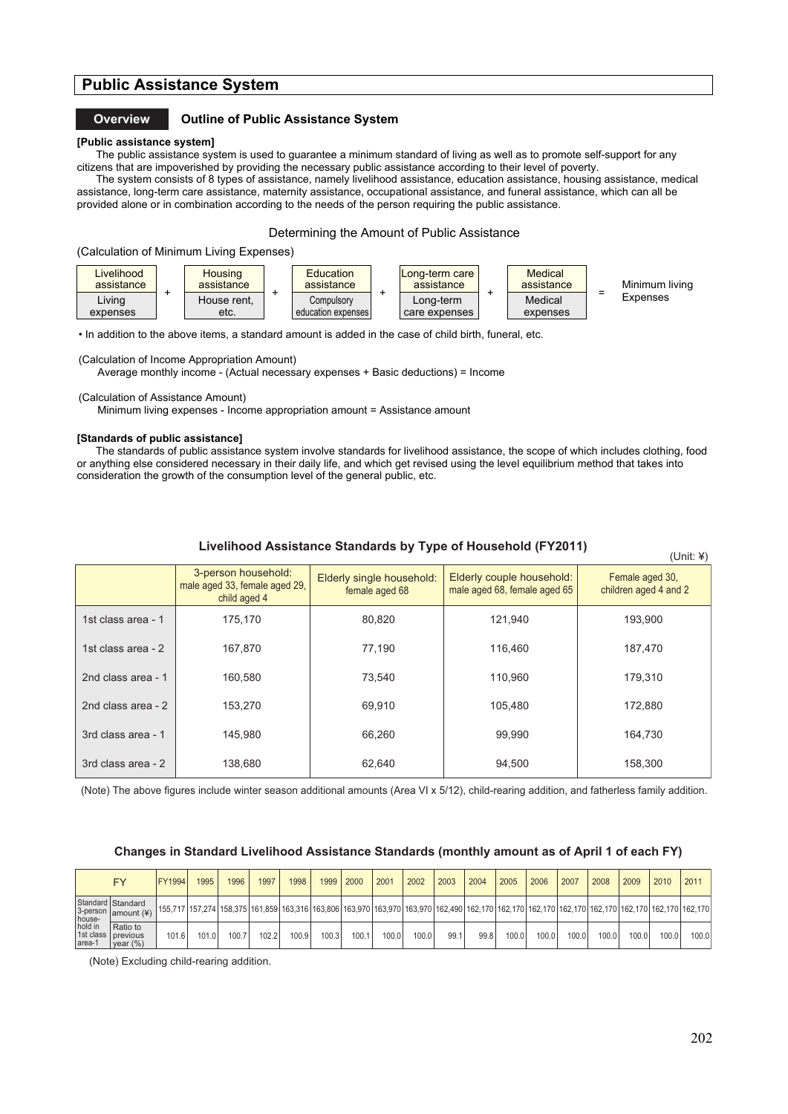# **Public Assistance System**

### **Overview Outline of Public Assistance System**

## **[Public assistance system]**

The public assistance system is used to guarantee a minimum standard of living as well as to promote self-support for any citizens that are impoverished by providing the necessary public assistance according to their level of poverty.

The system consists of 8 types of assistance, namely livelihood assistance, education assistance, housing assistance, medical assistance, long-term care assistance, maternity assistance, occupational assistance, and funeral assistance, which can all be provided alone or in combination according to the needs of the person requiring the public assistance.!!

#### Determining the Amount of Public Assistance

(Calculation of Minimum Living Expenses)



• In addition to the above items, a standard amount is added in the case of child birth, funeral, etc.

(Calculation of Income Appropriation Amount)

Average monthly income - (Actual necessary expenses + Basic deductions) = Income

(Calculation of Assistance Amount)

Minimum living expenses - Income appropriation amount = Assistance amount

#### **[Standards of public assistance]**

The standards of public assistance system involve standards for livelihood assistance, the scope of which includes clothing, food or anything else considered necessary in their daily life, and which get revised using the level equilibrium method that takes into consideration the growth of the consumption level of the general public, etc.

|  | Livelihood Assistance Standards by Type of Household (FY2011) |  |  |
|--|---------------------------------------------------------------|--|--|
|  |                                                               |  |  |

|                    | 3-person household:<br>male aged 33, female aged 29,<br>child aged 4 | Elderly single household:<br>female aged 68 | Elderly couple household:<br>male aged 68, female aged 65 | Female aged 30,<br>children aged 4 and 2 |
|--------------------|----------------------------------------------------------------------|---------------------------------------------|-----------------------------------------------------------|------------------------------------------|
| 1st class area - 1 | 175.170                                                              | 80.820                                      | 121,940                                                   | 193.900                                  |
| 1st class area - 2 | 167.870                                                              | 77.190                                      | 116.460                                                   | 187.470                                  |
| 2nd class area - 1 | 160.580                                                              | 73.540                                      | 110.960                                                   | 179.310                                  |
| 2nd class area - 2 | 153.270                                                              | 69.910                                      | 105.480                                                   | 172.880                                  |
| 3rd class area - 1 | 145.980                                                              | 66.260                                      | 99.990                                                    | 164.730                                  |
| 3rd class area - 2 | 138.680                                                              | 62.640                                      | 94.500                                                    | 158.300                                  |

(Note) The above figures include winter season additional amounts (Area VI x 5/12), child-rearing addition, and fatherless family addition.

#### **Changes in Standard Livelihood Assistance Standards (monthly amount as of April 1 of each FY)**

|                             | <b>FY</b>                                      | <b>FY1994</b> | 1995  | 1996  | 1997  | 1998  | 1999  | 2000  | 2001  | 2002  | 2003 | 2004                                                                                                                                                                                    | 2005  | 2006  | 2007  | 2008  | 2009  | 2010  | 201   |
|-----------------------------|------------------------------------------------|---------------|-------|-------|-------|-------|-------|-------|-------|-------|------|-----------------------------------------------------------------------------------------------------------------------------------------------------------------------------------------|-------|-------|-------|-------|-------|-------|-------|
| house-<br>hold in<br>area-1 | Standard Standard<br>3-person $ $ amount $(*)$ |               |       |       |       |       |       |       |       |       |      | 155,717 157,274 158,375 161,859 163,316 163,806 163,970 163,970 163,970 162,490 162,170 162,170 162,170 162,170 162,170 162,170 162,170 162,170 162,170 162,170 162,170 162,170 162,170 |       |       |       |       |       |       |       |
|                             | Ratio to<br>1st class previous<br>year (%)     | 101.6         | 101.0 | 100.7 | 102.2 | 100.9 | 100.3 | 100.1 | 100.0 | 100.0 | 99.  | 99.8                                                                                                                                                                                    | 100.0 | 100.0 | 100.0 | 100.0 | 100.0 | 100.0 | 100.0 |

(Note) Excluding child-rearing addition.

 $($ Unit:  $\angle$